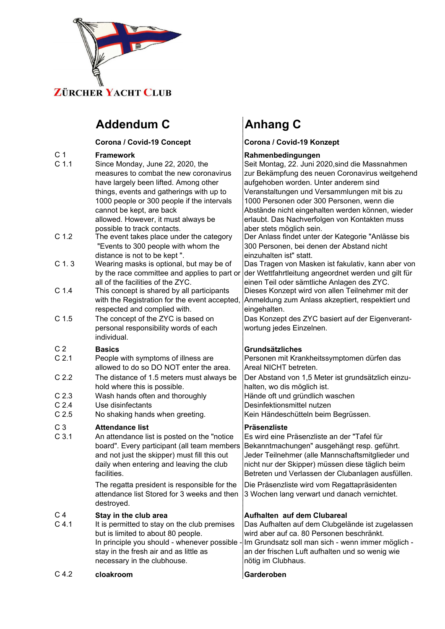

# Addendum C **Anhang C**

### $C$  1.2 The event takes place under the category C 1 **Framework Rahmenbedingungen** C 1.1 Since Monday, June 22, 2020, the measures to combat the new corona have largely been lifted. Among other things, events and gatherings with u 1000 people or 300 people if the intercannot be kept, are back allowed. However, it must always be possible to track contacts.

- "Events to 300 people with whom th distance is not to be kept ".
- C 1. 3 Wearing masks is optional, but may by the race committee and applies to all of the facilities of the ZYC.
- C 1.4 This concept is shared by all participal with the Registration for the event a respected and complied with.
- C 1.5 The concept of the ZYC is based on personal responsibility words of eac individual.

- C 2.1 People with symptoms of illness are allowed to do so DO NOT enter the
- $C$  2.2 The distance of 1.5 meters must alw hold where this is possible.
- C 2.3 Wash hands often and thoroughly
- C 2.4 Use disinfectants
- C 2.5 No shaking hands when greeting.

## C 3 **Attendance list**

## C 4 **Stay in the club area**

stay in the fresh air and as little as necessary in the clubhouse.  $C$  4.1 It is permitted to stay on the club pre but is limited to about 80 people.

### C 4.2 **cloakroom Garderoben**

Corona / Covid-19 Concept **Corona / Covid-19 Konzept** 

| C <sub>1.1</sub> | Since Monday, June 22, 2020, the                                                | <br>Seit Montag, 22. Juni 2020, sind die Massnahmen                                      |
|------------------|---------------------------------------------------------------------------------|------------------------------------------------------------------------------------------|
|                  | measures to combat the new coronavirus<br>have largely been lifted. Among other | zur Bekämpfung des neuen Coronavirus weitgehend<br>aufgehoben worden. Unter anderem sind |
|                  | things, events and gatherings with up to                                        | Veranstaltungen und Versammlungen mit bis zu                                             |
|                  | 1000 people or 300 people if the intervals                                      | 1000 Personen oder 300 Personen, wenn die                                                |
|                  | cannot be kept, are back                                                        | Abstände nicht eingehalten werden können, wieder                                         |
|                  | allowed. However, it must always be                                             | erlaubt. Das Nachverfolgen von Kontakten muss                                            |
|                  | possible to track contacts.                                                     | aber stets möglich sein.                                                                 |
| C <sub>1.2</sub> | The event takes place under the category                                        | Der Anlass findet unter der Kategorie "Anlässe bis                                       |
|                  | "Events to 300 people with whom the                                             | 300 Personen, bei denen der Abstand nicht                                                |
|                  | distance is not to be kept".                                                    | einzuhalten ist" statt.                                                                  |
| C <sub>1.3</sub> | Wearing masks is optional, but may be of                                        | Das Tragen von Masken ist fakulativ, kann aber von                                       |
|                  | by the race committee and applies to part or                                    | der Wettfahrtleitung angeordnet werden und gilt für                                      |
|                  | all of the facilities of the ZYC.                                               | einen Teil oder sämtliche Anlagen des ZYC.                                               |
| C <sub>1.4</sub> | This concept is shared by all participants                                      | Dieses Konzept wird von allen Teilnehmer mit der                                         |
|                  | with the Registration for the event accepted,<br>respected and complied with.   | Anmeldung zum Anlass akzeptiert, respektiert und<br>eingehalten.                         |
| C <sub>1.5</sub> | The concept of the ZYC is based on                                              | Das Konzept des ZYC basiert auf der Eigenverant-                                         |
|                  | personal responsibility words of each<br>individual.                            | wortung jedes Einzelnen.                                                                 |
| C <sub>2</sub>   | <b>Basics</b>                                                                   | <b>Grundsätzliches</b>                                                                   |
| C <sub>2.1</sub> | People with symptoms of illness are                                             | Personen mit Krankheitssymptomen dürfen das                                              |
|                  | allowed to do so DO NOT enter the area.                                         | Areal NICHT betreten.                                                                    |
| C <sub>2.2</sub> | The distance of 1.5 meters must always be                                       | Der Abstand von 1,5 Meter ist grundsätzlich einzu-                                       |
|                  | hold where this is possible.                                                    | halten, wo dis möglich ist.                                                              |
| C <sub>2.3</sub> | Wash hands often and thoroughly                                                 | Hände oft und gründlich waschen                                                          |
| C <sub>2.4</sub> | Use disinfectants                                                               | Desinfektionsmittel nutzen                                                               |
| C <sub>2.5</sub> | No shaking hands when greeting.                                                 | Kein Händeschütteln beim Begrüssen.                                                      |
| C <sub>3</sub>   | <b>Attendance list</b>                                                          | Präsenzliste                                                                             |
| C <sub>3.1</sub> | An attendance list is posted on the "notice                                     | Es wird eine Präsenzliste an der "Tafel für                                              |
|                  | board". Every participant (all team members                                     | Bekanntmachungen" ausgehängt resp. geführt.                                              |
|                  | and not just the skipper) must fill this out                                    | Jeder Teilnehmer (alle Mannschaftsmitglieder und                                         |
|                  | daily when entering and leaving the club                                        | nicht nur der Skipper) müssen diese täglich beim                                         |
|                  | facilities.                                                                     | Betreten und Verlassen der Clubanlagen ausfüllen.                                        |
|                  | The regatta president is responsible for the                                    | Die Präsenzliste wird vom Regattapräsidenten                                             |
|                  | attendance list Stored for 3 weeks and then                                     | 3 Wochen lang verwart und danach vernichtet.                                             |
|                  | destroyed.                                                                      |                                                                                          |
| C <sub>4</sub>   | Stay in the club area                                                           | Aufhalten auf dem Clubareal                                                              |
| C <sub>4.1</sub> | It is permitted to stay on the club premises                                    | Das Aufhalten auf dem Clubgelände ist zugelassen                                         |

In principle you should - whenever possible - Im Grundsatz soll man sich - wenn immer möglich an der frischen Luft aufhalten und so wenig wie nötig im Clubhaus. Das Aufhalten auf dem Clubgelände ist zugelassen wird aber auf ca. 80 Personen beschränkt.